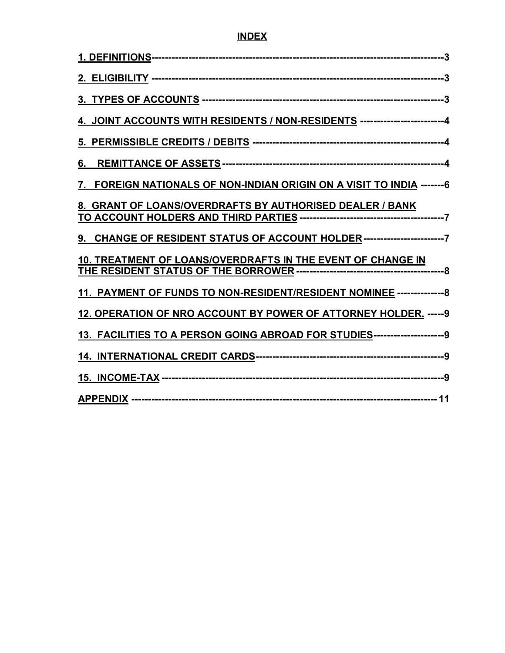## **INDEX**

| 4. JOINT ACCOUNTS WITH RESIDENTS / NON-RESIDENTS -----------------------4  |  |
|----------------------------------------------------------------------------|--|
|                                                                            |  |
| 6.                                                                         |  |
| FOREIGN NATIONALS OF NON-INDIAN ORIGIN ON A VISIT TO INDIA ------- 6       |  |
| 8. GRANT OF LOANS/OVERDRAFTS BY AUTHORISED DEALER / BANK                   |  |
| 9. CHANGE OF RESIDENT STATUS OF ACCOUNT HOLDER -------------------------7  |  |
| 10. TREATMENT OF LOANS/OVERDRAFTS IN THE EVENT OF CHANGE IN                |  |
| 11. PAYMENT OF FUNDS TO NON-RESIDENT/RESIDENT NOMINEE ---------------8     |  |
| 12. OPERATION OF NRO ACCOUNT BY POWER OF ATTORNEY HOLDER. ----- 9          |  |
| 13. FACILITIES TO A PERSON GOING ABROAD FOR STUDIES----------------------9 |  |
|                                                                            |  |
|                                                                            |  |
|                                                                            |  |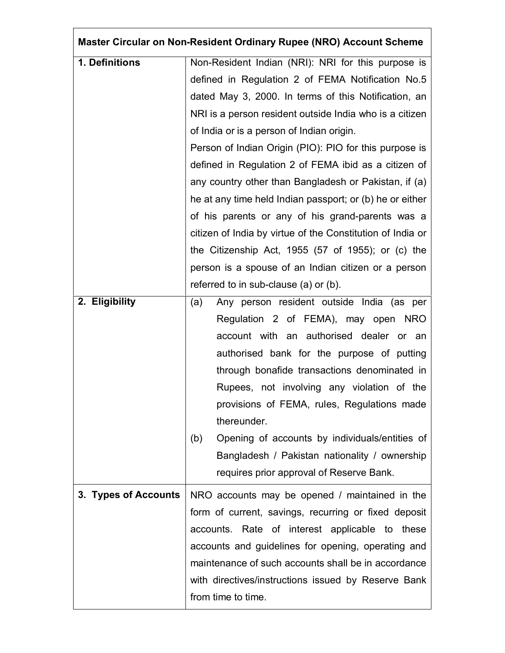| Master Circular on Non-Resident Ordinary Rupee (NRO) Account Scheme |                                                            |  |
|---------------------------------------------------------------------|------------------------------------------------------------|--|
| 1. Definitions                                                      | Non-Resident Indian (NRI): NRI for this purpose is         |  |
|                                                                     | defined in Regulation 2 of FEMA Notification No.5          |  |
|                                                                     | dated May 3, 2000. In terms of this Notification, an       |  |
|                                                                     | NRI is a person resident outside India who is a citizen    |  |
|                                                                     | of India or is a person of Indian origin.                  |  |
|                                                                     | Person of Indian Origin (PIO): PIO for this purpose is     |  |
|                                                                     | defined in Regulation 2 of FEMA ibid as a citizen of       |  |
|                                                                     | any country other than Bangladesh or Pakistan, if (a)      |  |
|                                                                     | he at any time held Indian passport; or (b) he or either   |  |
|                                                                     | of his parents or any of his grand-parents was a           |  |
|                                                                     | citizen of India by virtue of the Constitution of India or |  |
|                                                                     | the Citizenship Act, 1955 (57 of 1955); or (c) the         |  |
|                                                                     | person is a spouse of an Indian citizen or a person        |  |
|                                                                     | referred to in sub-clause (a) or (b).                      |  |
| 2. Eligibility                                                      | Any person resident outside India (as per<br>(a)           |  |
|                                                                     | Regulation 2 of FEMA), may open NRO                        |  |
|                                                                     | account with an authorised dealer or an                    |  |
|                                                                     | authorised bank for the purpose of putting                 |  |
|                                                                     | through bonafide transactions denominated in               |  |
|                                                                     | Rupees, not involving any violation of the                 |  |
|                                                                     | provisions of FEMA, rules, Regulations made                |  |
|                                                                     | thereunder.                                                |  |
|                                                                     | Opening of accounts by individuals/entities of<br>(b)      |  |
|                                                                     | Bangladesh / Pakistan nationality / ownership              |  |
|                                                                     | requires prior approval of Reserve Bank.                   |  |
| 3. Types of Accounts                                                | NRO accounts may be opened / maintained in the             |  |
|                                                                     | form of current, savings, recurring or fixed deposit       |  |
|                                                                     | accounts. Rate of interest applicable to these             |  |
|                                                                     | accounts and guidelines for opening, operating and         |  |
|                                                                     | maintenance of such accounts shall be in accordance        |  |
|                                                                     | with directives/instructions issued by Reserve Bank        |  |
|                                                                     | from time to time.                                         |  |

Г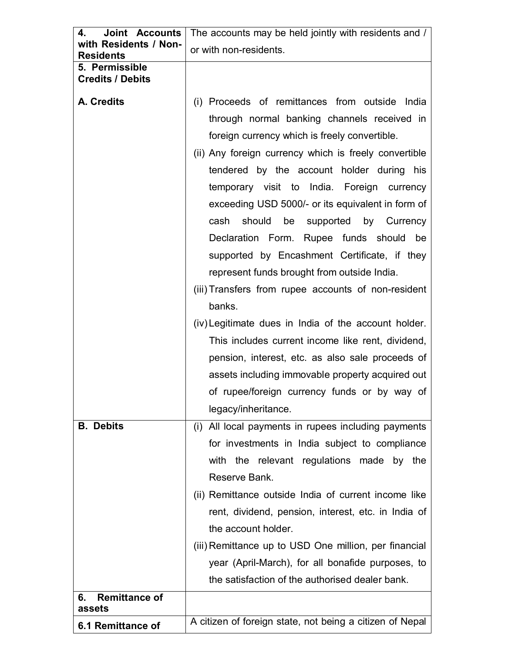| <b>Joint Accounts</b><br>4.               | The accounts may be held jointly with residents and /                                                                                                                                                                                                                                                                                                                                                       |  |
|-------------------------------------------|-------------------------------------------------------------------------------------------------------------------------------------------------------------------------------------------------------------------------------------------------------------------------------------------------------------------------------------------------------------------------------------------------------------|--|
| with Residents / Non-<br><b>Residents</b> | or with non-residents.                                                                                                                                                                                                                                                                                                                                                                                      |  |
| 5. Permissible                            |                                                                                                                                                                                                                                                                                                                                                                                                             |  |
| <b>Credits / Debits</b>                   |                                                                                                                                                                                                                                                                                                                                                                                                             |  |
| A. Credits                                | (i) Proceeds of remittances from outside India<br>through normal banking channels received in<br>foreign currency which is freely convertible.<br>(ii) Any foreign currency which is freely convertible<br>tendered by the account holder during his<br>temporary visit to India. Foreign<br>currency<br>exceeding USD 5000/- or its equivalent in form of<br>should<br>be<br>supported by Currency<br>cash |  |
|                                           | Declaration Form. Rupee funds should be<br>supported by Encashment Certificate, if they                                                                                                                                                                                                                                                                                                                     |  |
|                                           | represent funds brought from outside India.                                                                                                                                                                                                                                                                                                                                                                 |  |
|                                           | (iii) Transfers from rupee accounts of non-resident                                                                                                                                                                                                                                                                                                                                                         |  |
|                                           | banks.                                                                                                                                                                                                                                                                                                                                                                                                      |  |
|                                           | (iv) Legitimate dues in India of the account holder.                                                                                                                                                                                                                                                                                                                                                        |  |
|                                           | This includes current income like rent, dividend,                                                                                                                                                                                                                                                                                                                                                           |  |
|                                           | pension, interest, etc. as also sale proceeds of                                                                                                                                                                                                                                                                                                                                                            |  |
|                                           | assets including immovable property acquired out                                                                                                                                                                                                                                                                                                                                                            |  |
|                                           | of rupee/foreign currency funds or by way of                                                                                                                                                                                                                                                                                                                                                                |  |
|                                           | legacy/inheritance.                                                                                                                                                                                                                                                                                                                                                                                         |  |
| <b>B.</b> Debits                          | All local payments in rupees including payments<br>(i)                                                                                                                                                                                                                                                                                                                                                      |  |
|                                           | for investments in India subject to compliance                                                                                                                                                                                                                                                                                                                                                              |  |
|                                           | with the relevant regulations made<br>by the                                                                                                                                                                                                                                                                                                                                                                |  |
|                                           | Reserve Bank.                                                                                                                                                                                                                                                                                                                                                                                               |  |
|                                           | (ii) Remittance outside India of current income like                                                                                                                                                                                                                                                                                                                                                        |  |
|                                           | rent, dividend, pension, interest, etc. in India of                                                                                                                                                                                                                                                                                                                                                         |  |
|                                           | the account holder.                                                                                                                                                                                                                                                                                                                                                                                         |  |
|                                           | (iii) Remittance up to USD One million, per financial                                                                                                                                                                                                                                                                                                                                                       |  |
|                                           | year (April-March), for all bonafide purposes, to                                                                                                                                                                                                                                                                                                                                                           |  |
|                                           | the satisfaction of the authorised dealer bank.                                                                                                                                                                                                                                                                                                                                                             |  |
| <b>Remittance of</b><br>6.<br>assets      |                                                                                                                                                                                                                                                                                                                                                                                                             |  |
| 6.1 Remittance of                         | A citizen of foreign state, not being a citizen of Nepal                                                                                                                                                                                                                                                                                                                                                    |  |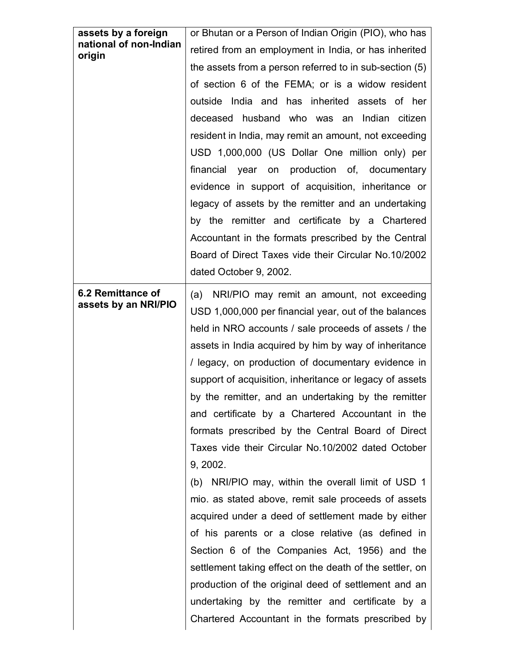| assets by a foreign<br>national of non-Indian<br>origin | or Bhutan or a Person of Indian Origin (PIO), who has<br>retired from an employment in India, or has inherited<br>the assets from a person referred to in sub-section (5)<br>of section 6 of the FEMA; or is a widow resident<br>outside India and has inherited assets of her<br>deceased husband who was an Indian citizen<br>resident in India, may remit an amount, not exceeding<br>USD 1,000,000 (US Dollar One million only) per<br>production of, documentary<br>financial<br>year<br>on<br>evidence in support of acquisition, inheritance or<br>legacy of assets by the remitter and an undertaking<br>by the remitter and certificate by a Chartered<br>Accountant in the formats prescribed by the Central<br>Board of Direct Taxes vide their Circular No.10/2002<br>dated October 9, 2002.                                                                                                                                                                                                                                                                             |
|---------------------------------------------------------|--------------------------------------------------------------------------------------------------------------------------------------------------------------------------------------------------------------------------------------------------------------------------------------------------------------------------------------------------------------------------------------------------------------------------------------------------------------------------------------------------------------------------------------------------------------------------------------------------------------------------------------------------------------------------------------------------------------------------------------------------------------------------------------------------------------------------------------------------------------------------------------------------------------------------------------------------------------------------------------------------------------------------------------------------------------------------------------|
| 6.2 Remittance of<br>assets by an NRI/PIO               | NRI/PIO may remit an amount, not exceeding<br>(a)<br>USD 1,000,000 per financial year, out of the balances<br>held in NRO accounts / sale proceeds of assets / the<br>assets in India acquired by him by way of inheritance<br>/ legacy, on production of documentary evidence in<br>support of acquisition, inheritance or legacy of assets<br>by the remitter, and an undertaking by the remitter<br>and certificate by a Chartered Accountant in the<br>formats prescribed by the Central Board of Direct<br>Taxes vide their Circular No.10/2002 dated October<br>9, 2002.<br>(b) NRI/PIO may, within the overall limit of USD 1<br>mio. as stated above, remit sale proceeds of assets<br>acquired under a deed of settlement made by either<br>of his parents or a close relative (as defined in<br>Section 6 of the Companies Act, 1956) and the<br>settlement taking effect on the death of the settler, on<br>production of the original deed of settlement and an<br>undertaking by the remitter and certificate by a<br>Chartered Accountant in the formats prescribed by |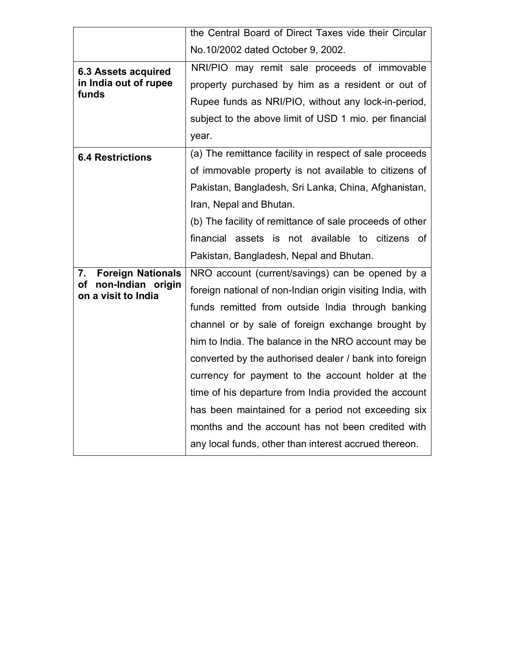|                                | the Central Board of Direct Taxes vide their Circular      |
|--------------------------------|------------------------------------------------------------|
|                                | No.10/2002 dated October 9, 2002.                          |
| <b>6.3 Assets acquired</b>     | NRI/PIO may remit sale proceeds of immovable               |
| in India out of rupee          | property purchased by him as a resident or out of          |
| funds                          | Rupee funds as NRI/PIO, without any lock-in-period,        |
|                                | subject to the above limit of USD 1 mio. per financial     |
|                                | year.                                                      |
| <b>6.4 Restrictions</b>        | (a) The remittance facility in respect of sale proceeds    |
|                                | of immovable property is not available to citizens of      |
|                                | Pakistan, Bangladesh, Sri Lanka, China, Afghanistan,       |
|                                | Iran, Nepal and Bhutan.                                    |
|                                | (b) The facility of remittance of sale proceeds of other   |
|                                | financial assets is not available to citizens<br>of        |
|                                |                                                            |
|                                | Pakistan, Bangladesh, Nepal and Bhutan.                    |
| <b>Foreign Nationals</b><br>7. | NRO account (current/savings) can be opened by a           |
| <b>of</b><br>non-Indian origin | foreign national of non-Indian origin visiting India, with |
| on a visit to India            | funds remitted from outside India through banking          |
|                                | channel or by sale of foreign exchange brought by          |
|                                | him to India. The balance in the NRO account may be        |
|                                | converted by the authorised dealer / bank into foreign     |
|                                | currency for payment to the account holder at the          |
|                                | time of his departure from India provided the account      |
|                                | has been maintained for a period not exceeding six         |
|                                | months and the account has not been credited with          |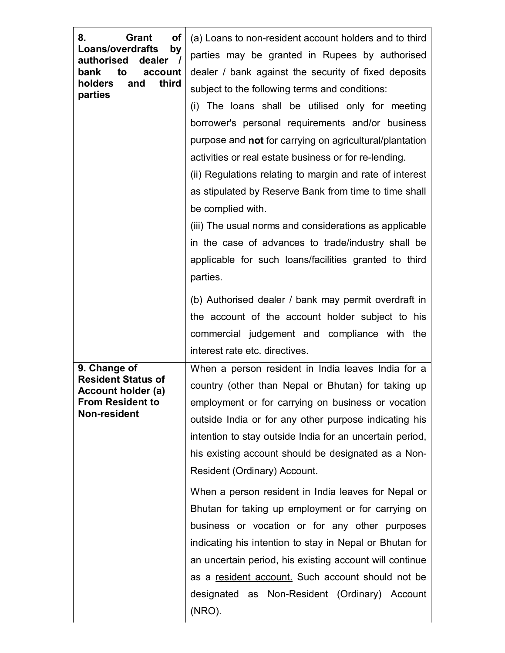| 8.<br><b>Grant</b><br><b>of</b><br><b>Loans/overdrafts</b><br>by<br>authorised<br>dealer $/$<br>bank<br>to<br>account<br>third<br>holders<br>and<br>parties<br>9. Change of<br><b>Resident Status of</b><br>Account holder (a) | (a) Loans to non-resident account holders and to third<br>parties may be granted in Rupees by authorised<br>dealer / bank against the security of fixed deposits<br>subject to the following terms and conditions:<br>(i) The loans shall be utilised only for meeting<br>borrower's personal requirements and/or business<br>purpose and <b>not</b> for carrying on agricultural/plantation<br>activities or real estate business or for re-lending.<br>(ii) Regulations relating to margin and rate of interest<br>as stipulated by Reserve Bank from time to time shall<br>be complied with.<br>(iii) The usual norms and considerations as applicable<br>in the case of advances to trade/industry shall be<br>applicable for such loans/facilities granted to third<br>parties.<br>(b) Authorised dealer / bank may permit overdraft in<br>the account of the account holder subject to his<br>commercial judgement and compliance with the<br>interest rate etc. directives. |
|--------------------------------------------------------------------------------------------------------------------------------------------------------------------------------------------------------------------------------|------------------------------------------------------------------------------------------------------------------------------------------------------------------------------------------------------------------------------------------------------------------------------------------------------------------------------------------------------------------------------------------------------------------------------------------------------------------------------------------------------------------------------------------------------------------------------------------------------------------------------------------------------------------------------------------------------------------------------------------------------------------------------------------------------------------------------------------------------------------------------------------------------------------------------------------------------------------------------------|
| <b>From Resident to</b><br>Non-resident                                                                                                                                                                                        | When a person resident in India leaves India for a<br>country (other than Nepal or Bhutan) for taking up<br>employment or for carrying on business or vocation<br>outside India or for any other purpose indicating his<br>intention to stay outside India for an uncertain period,<br>his existing account should be designated as a Non-<br>Resident (Ordinary) Account.<br>When a person resident in India leaves for Nepal or<br>Bhutan for taking up employment or for carrying on<br>business or vocation or for any other purposes<br>indicating his intention to stay in Nepal or Bhutan for<br>an uncertain period, his existing account will continue<br>as a resident account. Such account should not be<br>designated as Non-Resident (Ordinary) Account<br>(NRO).                                                                                                                                                                                                    |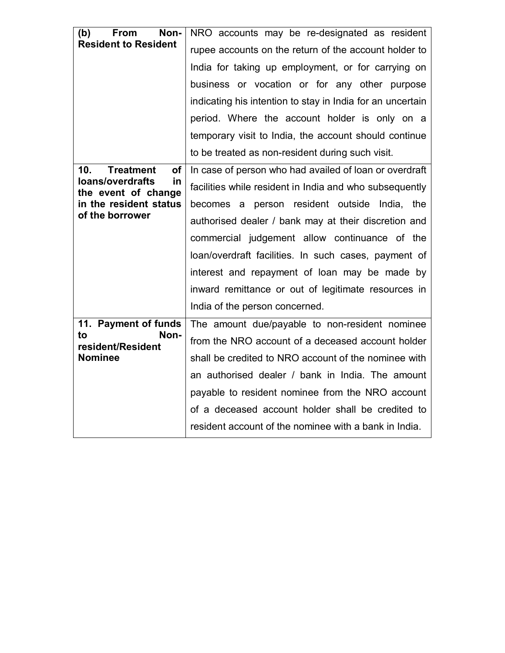| (b)<br>Non-<br>From<br><b>Resident to Resident</b> | NRO accounts may be re-designated as resident<br>rupee accounts on the return of the account holder to |
|----------------------------------------------------|--------------------------------------------------------------------------------------------------------|
|                                                    | India for taking up employment, or for carrying on                                                     |
|                                                    | business or vocation or for any other purpose                                                          |
|                                                    | indicating his intention to stay in India for an uncertain                                             |
|                                                    | period. Where the account holder is only on a                                                          |
|                                                    | temporary visit to India, the account should continue                                                  |
|                                                    | to be treated as non-resident during such visit.                                                       |
| 10.<br><b>Treatment</b><br>οf                      | In case of person who had availed of loan or overdraft                                                 |
| loans/overdrafts<br>in<br>the event of change      | facilities while resident in India and who subsequently                                                |
| in the resident status                             | becomes a person resident outside India, the                                                           |
| of the borrower                                    | authorised dealer / bank may at their discretion and                                                   |
|                                                    | commercial judgement allow continuance of the                                                          |
|                                                    | loan/overdraft facilities. In such cases, payment of                                                   |
|                                                    | interest and repayment of loan may be made by                                                          |
|                                                    | inward remittance or out of legitimate resources in                                                    |
|                                                    | India of the person concerned.                                                                         |
| 11. Payment of funds                               | The amount due/payable to non-resident nominee                                                         |
| to<br>Non-<br>resident/Resident                    | from the NRO account of a deceased account holder                                                      |
| <b>Nominee</b>                                     | shall be credited to NRO account of the nominee with                                                   |
|                                                    | an authorised dealer / bank in India. The amount                                                       |
|                                                    | payable to resident nominee from the NRO account                                                       |
|                                                    | of a deceased account holder shall be credited to                                                      |
|                                                    | resident account of the nominee with a bank in India.                                                  |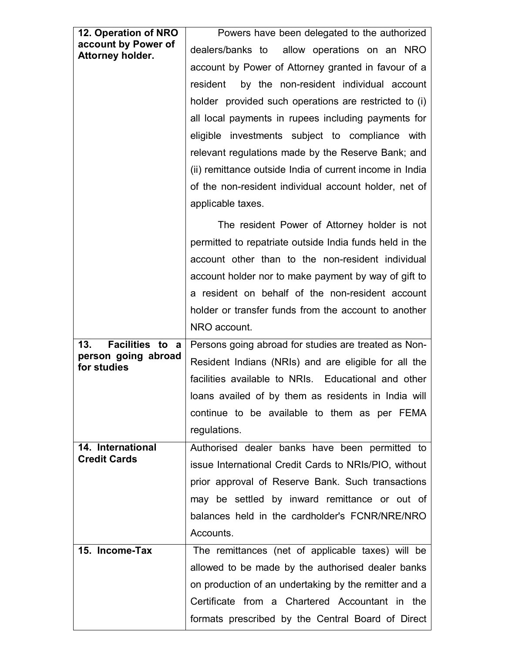| 12. Operation of NRO                    | Powers have been delegated to the authorized             |
|-----------------------------------------|----------------------------------------------------------|
| account by Power of<br>Attorney holder. | dealers/banks to allow operations on an NRO              |
|                                         | account by Power of Attorney granted in favour of a      |
|                                         | by the non-resident individual account<br>resident       |
|                                         | holder provided such operations are restricted to (i)    |
|                                         | all local payments in rupees including payments for      |
|                                         | eligible investments subject to compliance with          |
|                                         | relevant regulations made by the Reserve Bank; and       |
|                                         | (ii) remittance outside India of current income in India |
|                                         | of the non-resident individual account holder, net of    |
|                                         | applicable taxes.                                        |
|                                         | The resident Power of Attorney holder is not             |
|                                         | permitted to repatriate outside India funds held in the  |
|                                         | account other than to the non-resident individual        |
|                                         | account holder nor to make payment by way of gift to     |
|                                         | a resident on behalf of the non-resident account         |
|                                         | holder or transfer funds from the account to another     |
|                                         | NRO account.                                             |
| 13.<br><b>Facilities to</b><br>a        | Persons going abroad for studies are treated as Non-     |
| person going abroad<br>for studies      | Resident Indians (NRIs) and are eligible for all the     |
|                                         | facilities available to NRIs. Educational and other      |
|                                         | loans availed of by them as residents in India will      |
|                                         | continue to be available to them as per FEMA             |
|                                         | regulations.                                             |
| 14. International                       | Authorised dealer banks have been permitted to           |
| <b>Credit Cards</b>                     | issue International Credit Cards to NRIs/PIO, without    |
|                                         | prior approval of Reserve Bank. Such transactions        |
|                                         | may be settled by inward remittance or out of            |
|                                         | balances held in the cardholder's FCNR/NRE/NRO           |
|                                         | Accounts.                                                |
| 15. Income-Tax                          | The remittances (net of applicable taxes) will be        |
|                                         |                                                          |
|                                         | allowed to be made by the authorised dealer banks        |
|                                         | on production of an undertaking by the remitter and a    |
|                                         | Certificate from a Chartered Accountant in the           |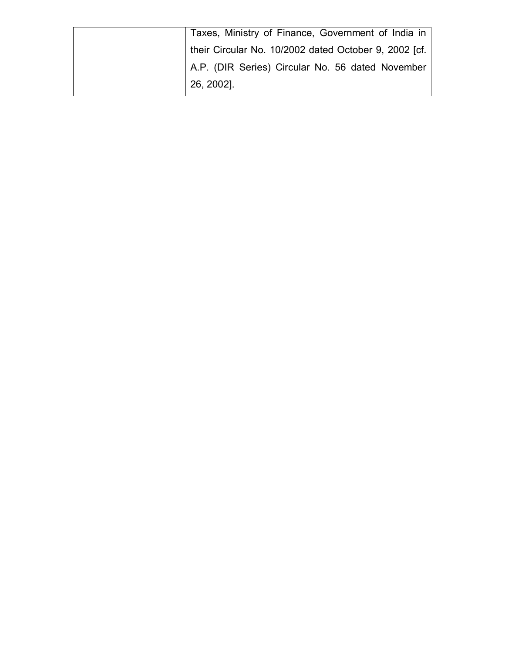|            | Taxes, Ministry of Finance, Government of India in    |
|------------|-------------------------------------------------------|
|            | their Circular No. 10/2002 dated October 9, 2002 [cf. |
|            | A.P. (DIR Series) Circular No. 56 dated November      |
| 26, 2002]. |                                                       |